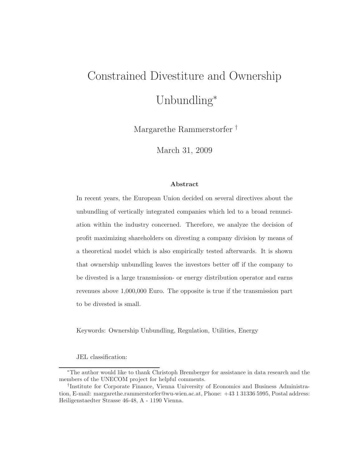# Constrained Divestiture and Ownership Unbundling<sup>∗</sup>

Margarethe Rammerstorfer †

March 31, 2009

#### **Abstract**

In recent years, the European Union decided on several directives about the unbundling of vertically integrated companies which led to a broad renunciation within the industry concerned. Therefore, we analyze the decision of profit maximizing shareholders on divesting a company division by means of a theoretical model which is also empirically tested afterwards. It is shown that ownership unbundling leaves the investors better off if the company to be divested is a large transmission- or energy distribution operator and earns revenues above 1,000,000 Euro. The opposite is true if the transmission part to be divested is small.

Keywords: Ownership Unbundling, Regulation, Utilities, Energy

JEL classification:

<sup>∗</sup>The author would like to thank Christoph Bremberger for assistance in data research and the members of the UNECOM project for helpful comments.

<sup>†</sup>Institute for Corporate Finance, Vienna University of Economics and Business Administration, E-mail: margarethe.rammerstorfer@wu-wien.ac.at, Phone: +43 1 31336 5995, Postal address: Heiligenstaedter Strasse 46-48, A - 1190 Vienna.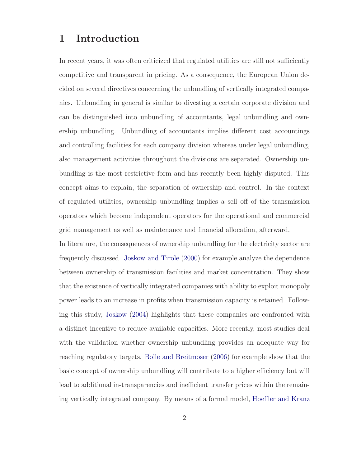## **1 Introduction**

In recent years, it was often criticized that regulated utilities are still not sufficiently competitive and transparent in pricing. As a consequence, the European Union decided on several directives concerning the unbundling of vertically integrated companies. Unbundling in general is similar to divesting a certain corporate division and can be distinguished into unbundling of accountants, legal unbundling and ownership unbundling. Unbundling of accountants implies different cost accountings and controlling facilities for each company division whereas under legal unbundling, also management activities throughout the divisions are separated. Ownership unbundling is the most restrictive form and has recently been highly disputed. This concept aims to explain, the separation of ownership and control. In the context of regulated utilities, ownership unbundling implies a sell off of the transmission operators which become independent operators for the operational and commercial grid management as well as maintenance and financial allocation, afterward.

In literature, the consequences of ownership unbundling for the electricity sector are frequently discussed. [Joskow and Tirole](#page-25-0) [\(2000](#page-25-0)) for example analyze the dependence between ownership of transmission facilities and market concentration. They show that the existence of vertically integrated companies with ability to exploit monopoly power leads to an increase in profits when transmission capacity is retained. Following this study, [Joskow](#page-25-1) [\(2004\)](#page-25-1) highlights that these companies are confronted with a distinct incentive to reduce available capacities. More recently, most studies deal with the validation whether ownership unbundling provides an adequate way for reaching regulatory targets. [Bolle and Breitmoser](#page-25-2) [\(2006](#page-25-2)) for example show that the basic concept of ownership unbundling will contribute to a higher efficiency but will lead to additional in-transparencies and inefficient transfer prices within the remaining vertically integrated company. By means of a formal model, [Hoeffler and Kranz](#page-25-3)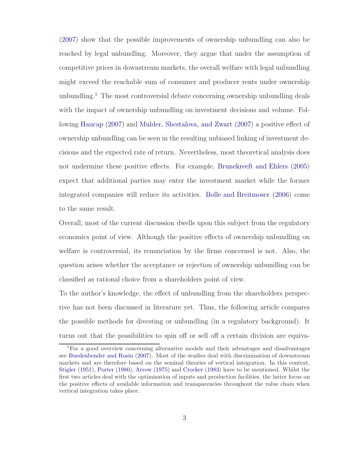[\(2007](#page-25-3)) show that the possible improvements of ownership unbundling can also be reached by legal unbundling. Moreover, they argue that under the assumption of competitive prices in downstream markets, the overall welfare with legal unbundling might exceed the reachable sum of consumer and producer rents under ownership unbundling.<sup>[1](#page-2-0)</sup> The most controversial debate concerning ownership unbundling deals with the impact of ownership unbundling on investment decisions and volume. Following [Haucap](#page-25-4) [\(2007\)](#page-25-4) and [Mulder, Shestalova, and Zwart](#page-26-0) [\(2007\)](#page-26-0) a positive effect of ownership unbundling can be seen in the resulting unbiased linking of investment decisions and the expected rate of return. Nevertheless, most theoretical analysis does not undermine these positive effects. For example, [Brunekreeft and Ehlers](#page-25-5) [\(2005](#page-25-5)) expect that additional parties may enter the investment market while the former integrated companies will reduce its activities. [Bolle and Breitmoser](#page-25-2) [\(2006](#page-25-2)) come to the same result.

Overall, most of the current discussion dwells upon this subject from the regulatory economics point of view. Although the positive effects of ownership unbundling on welfare is controversial, its renunciation by the firms concerned is not. Also, the question arises whether the acceptance or rejection of ownership unbundling can be classified as rational choice from a shareholders point of view.

To the author's knowledge, the effect of unbundling from the shareholders perspective has not been discussed in literature yet. Thus, the following article compares the possible methods for divesting or unbundling (in a regulatory background). It turns out that the possibilities to spin off or sell off a certain division are equiva-

<span id="page-2-0"></span><sup>1</sup>For a good overview concerning alternative models and their advantages and disadvantages see [Buedenbender and Rosin](#page-25-6) [\(2007\)](#page-25-6). Most of the studies deal with discrimination of downstream markets and are therefore based on the seminal theories of vertical integration. In this context, [Stigler](#page-26-1) [\(1951\)](#page-26-1), [Porter](#page-26-2) [\(1980](#page-26-2)), [Arrow](#page-25-7) [\(1975\)](#page-25-7) and [Crocker](#page-25-8) [\(1983\)](#page-25-8) have to be mentioned. Whilst the first two articles deal with the optimization of inputs and production facilities, the latter focus on the positive effects of available information and transparencies throughout the value chain when vertical integration takes place.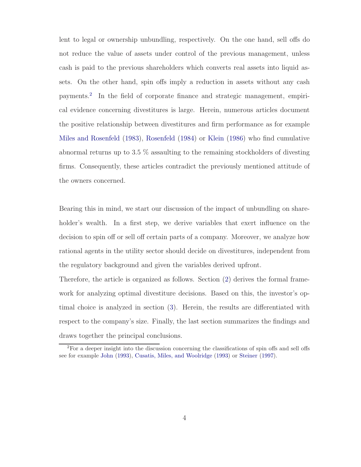lent to legal or ownership unbundling, respectively. On the one hand, sell offs do not reduce the value of assets under control of the previous management, unless cash is paid to the previous shareholders which converts real assets into liquid assets. On the other hand, spin offs imply a reduction in assets without any cash payments.[2](#page-3-0) In the field of corporate finance and strategic management, empirical evidence concerning divestitures is large. Herein, numerous articles document the positive relationship between divestitures and firm performance as for example [Miles and Rosenfeld](#page-25-9) [\(1983\)](#page-25-9), [Rosenfeld](#page-26-3) [\(1984](#page-26-3)) or [Klein](#page-25-10) [\(1986](#page-25-10)) who find cumulative abnormal returns up to 3.5 % assaulting to the remaining stockholders of divesting firms. Consequently, these articles contradict the previously mentioned attitude of the owners concerned.

Bearing this in mind, we start our discussion of the impact of unbundling on shareholder's wealth. In a first step, we derive variables that exert influence on the decision to spin off or sell off certain parts of a company. Moreover, we analyze how rational agents in the utility sector should decide on divestitures, independent from the regulatory background and given the variables derived upfront.

Therefore, the article is organized as follows. Section [\(2\)](#page-4-0) derives the formal framework for analyzing optimal divestiture decisions. Based on this, the investor's optimal choice is analyzed in section [\(3\)](#page-10-0). Herein, the results are differentiated with respect to the company's size. Finally, the last section summarizes the findings and draws together the principal conclusions.

<span id="page-3-0"></span><sup>&</sup>lt;sup>2</sup>For a deeper insight into the discussion concerning the classifications of spin offs and sell offs see for example [John](#page-25-11) [\(1993\)](#page-25-11), [Cusatis, Miles, and Woolridge](#page-25-12) [\(1993\)](#page-25-12) or [Steiner](#page-26-4) [\(1997\)](#page-26-4).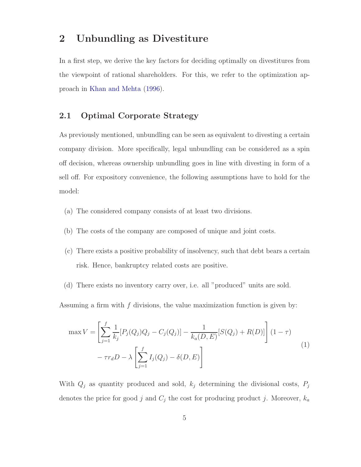### <span id="page-4-0"></span>**2 Unbundling as Divestiture**

In a first step, we derive the key factors for deciding optimally on divestitures from the viewpoint of rational shareholders. For this, we refer to the optimization approach in [Khan and Mehta](#page-25-13) [\(1996](#page-25-13)).

#### **2.1 Optimal Corporate Strategy**

As previously mentioned, unbundling can be seen as equivalent to divesting a certain company division. More specifically, legal unbundling can be considered as a spin off decision, whereas ownership unbundling goes in line with divesting in form of a sell off. For expository convenience, the following assumptions have to hold for the model:

- (a) The considered company consists of at least two divisions.
- (b) The costs of the company are composed of unique and joint costs.
- (c) There exists a positive probability of insolvency, such that debt bears a certain risk. Hence, bankruptcy related costs are positive.
- (d) There exists no inventory carry over, i.e. all "produced" units are sold.

Assuming a firm with  $f$  divisions, the value maximization function is given by:

<span id="page-4-1"></span>
$$
\max V = \left[ \sum_{j=1}^{f} \frac{1}{k_j} [P_j(Q_j)Q_j - C_j(Q_j)] - \frac{1}{k_a(D, E)} [S(Q_j) + R(D)] \right] (1 - \tau)
$$
  
-  $\tau r_d D - \lambda \left[ \sum_{j=1}^{f} I_j(Q_j) - \delta(D, E) \right]$  (1)

With  $Q_j$  as quantity produced and sold,  $k_j$  determining the divisional costs,  $P_j$ denotes the price for good j and  $C_j$  the cost for producing product j. Moreover,  $k_a$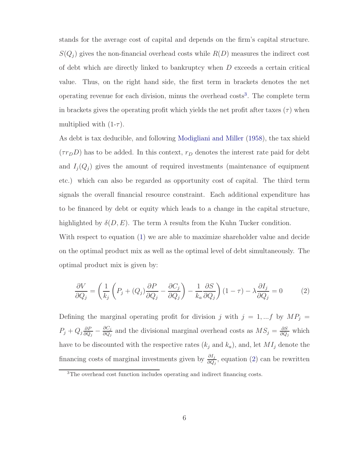stands for the average cost of capital and depends on the firm's capital structure.  $S(Q_j)$  gives the non-financial overhead costs while  $R(D)$  measures the indirect cost of debt which are directly linked to bankruptcy when D exceeds a certain critical value. Thus, on the right hand side, the first term in brackets denotes the net operating revenue for each division, minus the overhead  $\cos t s^3$  $\cos t s^3$ . The complete term in brackets gives the operating profit which yields the net profit after taxes  $(\tau)$  when multiplied with  $(1-\tau)$ .

As debt is tax deducible, and following [Modigliani and Miller](#page-26-5) [\(1958\)](#page-26-5), the tax shield  $(\tau r_D D)$  has to be added. In this context,  $r_D$  denotes the interest rate paid for debt and  $I_j(Q_j)$  gives the amount of required investments (maintenance of equipment etc.) which can also be regarded as opportunity cost of capital. The third term signals the overall financial resource constraint. Each additional expenditure has to be financed by debt or equity which leads to a change in the capital structure, highlighted by  $\delta(D, E)$ . The term  $\lambda$  results from the Kuhn Tucker condition.

With respect to equation [\(1\)](#page-4-1) we are able to maximize shareholder value and decide on the optimal product mix as well as the optimal level of debt simultaneously. The optimal product mix is given by:

<span id="page-5-1"></span>
$$
\frac{\partial V}{\partial Q_j} = \left(\frac{1}{k_j} \left(P_j + (Q_j) \frac{\partial P}{\partial Q_j} - \frac{\partial C_j}{\partial Q_j}\right) - \frac{1}{k_a} \frac{\partial S}{\partial Q_j}\right) (1 - \tau) - \lambda \frac{\partial I_j}{\partial Q_j} = 0
$$
\n(2)

Defining the marginal operating profit for division j with  $j = 1, ... f$  by  $MP_j =$  $P_j + Q_j \frac{\partial P}{\partial Q_j} - \frac{\partial C_j}{\partial Q_j}$  and the divisional marginal overhead costs as  $MS_j = \frac{\partial S}{\partial Q_j}$  which have to be discounted with the respective rates  $(k_j \text{ and } k_a)$ , and, let  $MI_j$  denote the financing costs of marginal investments given by  $\frac{\partial I_j}{\partial Q_j}$ , equation [\(2\)](#page-5-1) can be rewritten

<span id="page-5-0"></span><sup>3</sup>The overhead cost function includes operating and indirect financing costs.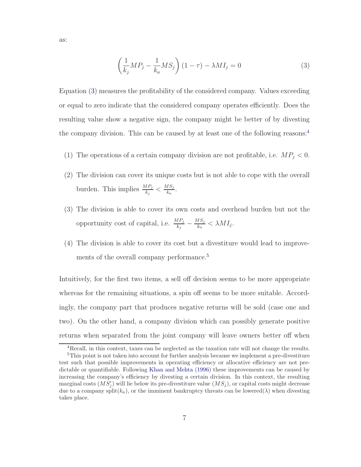as:

<span id="page-6-0"></span>
$$
\left(\frac{1}{k_j}MP_j - \frac{1}{k_a} MS_j\right)(1-\tau) - \lambda MI_j = 0\tag{3}
$$

Equation [\(3\)](#page-6-0) measures the profitability of the considered company. Values exceeding or equal to zero indicate that the considered company operates efficiently. Does the resulting value show a negative sign, the company might be better of by divesting the company division. This can be caused by at least one of the following reasons:[4](#page-6-1)

- (1) The operations of a certain company division are not profitable, i.e.  $MP_j < 0$ .
- (2) The division can cover its unique costs but is not able to cope with the overall burden. This implies  $\frac{MP_j}{k_j} < \frac{MS_j}{k_a}$ .
- (3) The division is able to cover its own costs and overhead burden but not the opportunity cost of capital, i.e.  $\frac{MP_j}{k_j} - \frac{MS_j}{k_a} < \lambda MI_j$ .
- (4) The division is able to cover its cost but a divestiture would lead to improve-ments of the overall company performance.<sup>[5](#page-6-2)</sup>

Intuitively, for the first two items, a sell off decision seems to be more appropriate whereas for the remaining situations, a spin off seems to be more suitable. Accordingly, the company part that produces negative returns will be sold (case one and two). On the other hand, a company division which can possibly generate positive returns when separated from the joint company will leave owners better off when

<span id="page-6-1"></span><sup>4</sup>Recall, in this context, taxes can be neglected as the taxation rate will not change the results.

<span id="page-6-2"></span><sup>5</sup>This point is not taken into account for further analysis because we implement a pre-divestiture test such that possible improvements in operating efficiency or allocative efficiency are not predictable or quantifiable. Following [Khan and Mehta](#page-25-13) [\(1996\)](#page-25-13) these improvements can be caused by increasing the company's efficiency by divesting a certain division. In this context, the resulting marginal costs  $(MS'_j)$  will lie below its pre-divestiture value  $(MS_j)$ , or capital costs might decrease due to a company split $(k_a)$ , or the imminent bankruptcy threats can be lowered( $\lambda$ ) when divesting takes place.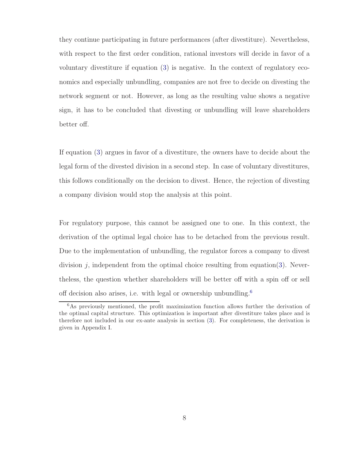they continue participating in future performances (after divestiture). Nevertheless, with respect to the first order condition, rational investors will decide in favor of a voluntary divestiture if equation [\(3\)](#page-6-0) is negative. In the context of regulatory economics and especially unbundling, companies are not free to decide on divesting the network segment or not. However, as long as the resulting value shows a negative sign, it has to be concluded that divesting or unbundling will leave shareholders better off.

If equation [\(3\)](#page-6-0) argues in favor of a divestiture, the owners have to decide about the legal form of the divested division in a second step. In case of voluntary divestitures, this follows conditionally on the decision to divest. Hence, the rejection of divesting a company division would stop the analysis at this point.

For regulatory purpose, this cannot be assigned one to one. In this context, the derivation of the optimal legal choice has to be detached from the previous result. Due to the implementation of unbundling, the regulator forces a company to divest division  $j$ , independent from the optimal choice resulting from equation[\(3\)](#page-6-0). Nevertheless, the question whether shareholders will be better off with a spin off or sell off decision also arises, i.e. with legal or ownership unbundling.[6](#page-7-0)

<span id="page-7-0"></span><sup>6</sup>As previously mentioned, the profit maximization function allows further the derivation of the optimal capital structure. This optimization is important after divestiture takes place and is therefore not included in our ex-ante analysis in section [\(3\)](#page-10-0). For completeness, the derivation is given in Appendix I.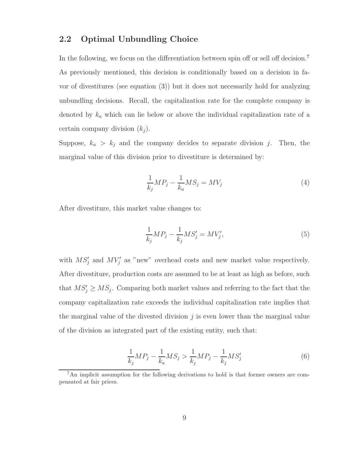#### <span id="page-8-2"></span>**2.2 Optimal Unbundling Choice**

In the following, we focus on the differentiation between spin off or sell off decision.<sup>[7](#page-8-0)</sup> As previously mentioned, this decision is conditionally based on a decision in favor of divestitures (see equation [\(3\)](#page-6-0)) but it does not necessarily hold for analyzing unbundling decisions. Recall, the capitalization rate for the complete company is denoted by  $k_a$  which can lie below or above the individual capitalization rate of a certain company division  $(k_i)$ .

Suppose,  $k_a > k_j$  and the company decides to separate division j. Then, the marginal value of this division prior to divestiture is determined by:

$$
\frac{1}{k_j}MP_j - \frac{1}{k_a} MS_j = MV_j \tag{4}
$$

After divestiture, this market value changes to:

$$
\frac{1}{k_j}MP_j - \frac{1}{k_j} MS'_j = MV'_j,
$$
\n(5)

with  $MS_i'$  and  $MV_i'$  as "new" overhead costs and new market value respectively. After divestiture, production costs are assumed to be at least as high as before, such that  $MS'_j \ge MS_j$ . Comparing both market values and referring to the fact that the company capitalization rate exceeds the individual capitalization rate implies that the marginal value of the divested division  $j$  is even lower than the marginal value of the division as integrated part of the existing entity, such that:

<span id="page-8-1"></span>
$$
\frac{1}{k_j}MP_j - \frac{1}{k_a} MS_j > \frac{1}{k_j} MP_j - \frac{1}{k_j} MS'_j \tag{6}
$$

<span id="page-8-0"></span><sup>7</sup>An implicit assumption for the following derivations to hold is that former owners are compensated at fair prices.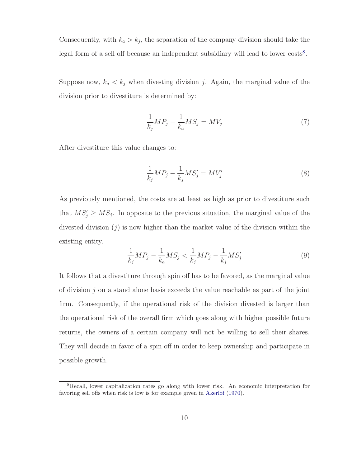Consequently, with  $k_a > k_j$ , the separation of the company division should take the legal form of a sell off because an independent subsidiary will lead to lower costs<sup>[8](#page-9-0)</sup>.

Suppose now,  $k_a < k_j$  when divesting division j. Again, the marginal value of the division prior to divestiture is determined by:

$$
\frac{1}{k_j}MP_j - \frac{1}{k_a} MS_j = MV_j \tag{7}
$$

After divestiture this value changes to:

$$
\frac{1}{k_j}MP_j - \frac{1}{k_j} MS'_j = MV'_j \tag{8}
$$

As previously mentioned, the costs are at least as high as prior to divestiture such that  $MS'_j \ge MS_j$ . In opposite to the previous situation, the marginal value of the divested division  $(i)$  is now higher than the market value of the division within the existing entity.

<span id="page-9-1"></span>
$$
\frac{1}{k_j}MP_j - \frac{1}{k_a} MS_j < \frac{1}{k_j} MP_j - \frac{1}{k_j} MS'_j \tag{9}
$$

It follows that a divestiture through spin off has to be favored, as the marginal value of division  $j$  on a stand alone basis exceeds the value reachable as part of the joint firm. Consequently, if the operational risk of the division divested is larger than the operational risk of the overall firm which goes along with higher possible future returns, the owners of a certain company will not be willing to sell their shares. They will decide in favor of a spin off in order to keep ownership and participate in possible growth.

<span id="page-9-0"></span><sup>8</sup>Recall, lower capitalization rates go along with lower risk. An economic interpretation for favoring sell offs when risk is low is for example given in [Akerlof](#page-25-14) [\(1970\)](#page-25-14).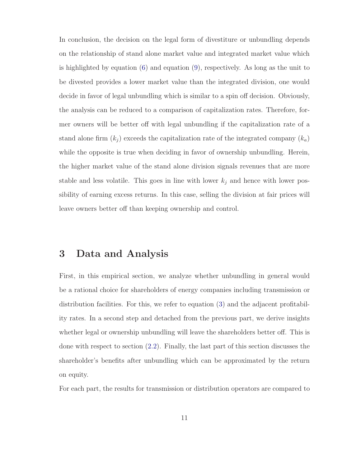In conclusion, the decision on the legal form of divestiture or unbundling depends on the relationship of stand alone market value and integrated market value which is highlighted by equation [\(6\)](#page-8-1) and equation [\(9\)](#page-9-1), respectively. As long as the unit to be divested provides a lower market value than the integrated division, one would decide in favor of legal unbundling which is similar to a spin off decision. Obviously, the analysis can be reduced to a comparison of capitalization rates. Therefore, former owners will be better off with legal unbundling if the capitalization rate of a stand alone firm  $(k_i)$  exceeds the capitalization rate of the integrated company  $(k_a)$ while the opposite is true when deciding in favor of ownership unbundling. Herein, the higher market value of the stand alone division signals revenues that are more stable and less volatile. This goes in line with lower  $k_j$  and hence with lower possibility of earning excess returns. In this case, selling the division at fair prices will leave owners better off than keeping ownership and control.

## <span id="page-10-0"></span>**3 Data and Analysis**

First, in this empirical section, we analyze whether unbundling in general would be a rational choice for shareholders of energy companies including transmission or distribution facilities. For this, we refer to equation [\(3\)](#page-6-0) and the adjacent profitability rates. In a second step and detached from the previous part, we derive insights whether legal or ownership unbundling will leave the shareholders better off. This is done with respect to section [\(2.2\)](#page-8-2). Finally, the last part of this section discusses the shareholder's benefits after unbundling which can be approximated by the return on equity.

For each part, the results for transmission or distribution operators are compared to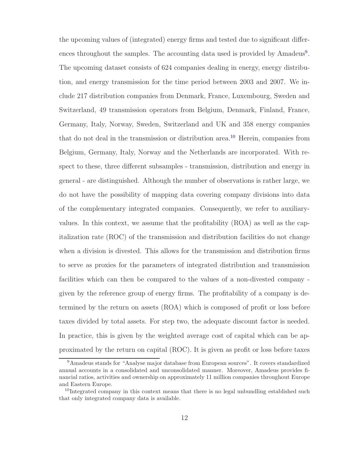the upcoming values of (integrated) energy firms and tested due to significant differ-ences throughout the samples. The accounting data used is provided by Amadeus<sup>[9](#page-11-0)</sup>. The upcoming dataset consists of 624 companies dealing in energy, energy distribution, and energy transmission for the time period between 2003 and 2007. We include 217 distribution companies from Denmark, France, Luxembourg, Sweden and Switzerland, 49 transmission operators from Belgium, Denmark, Finland, France, Germany, Italy, Norway, Sweden, Switzerland and UK and 358 energy companies that do not deal in the transmission or distribution area.[10](#page-11-1) Herein, companies from Belgium, Germany, Italy, Norway and the Netherlands are incorporated. With respect to these, three different subsamples - transmission, distribution and energy in general - are distinguished. Although the number of observations is rather large, we do not have the possibility of mapping data covering company divisions into data of the complementary integrated companies. Consequently, we refer to auxiliaryvalues. In this context, we assume that the profitability (ROA) as well as the capitalization rate (ROC) of the transmission and distribution facilities do not change when a division is divested. This allows for the transmission and distribution firms to serve as proxies for the parameters of integrated distribution and transmission facilities which can then be compared to the values of a non-divested company given by the reference group of energy firms. The profitability of a company is determined by the return on assets (ROA) which is composed of profit or loss before taxes divided by total assets. For step two, the adequate discount factor is needed. In practice, this is given by the weighted average cost of capital which can be approximated by the return on capital (ROC). It is given as profit or loss before taxes

<span id="page-11-0"></span><sup>9</sup>Amadeus stands for "Analyse major database from European sources". It covers standardized annual accounts in a consolidated and unconsolidated manner. Moreover, Amadeus provides financial ratios, activities and ownership on approximately 11 million companies throughout Europe and Eastern Europe.

<span id="page-11-1"></span> $10$ Integrated company in this context means that there is no legal unbundling established such that only integrated company data is available.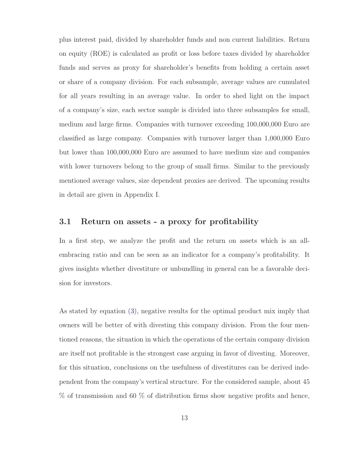plus interest paid, divided by shareholder funds and non current liabilities. Return on equity (ROE) is calculated as profit or loss before taxes divided by shareholder funds and serves as proxy for shareholder's benefits from holding a certain asset or share of a company division. For each subsample, average values are cumulated for all years resulting in an average value. In order to shed light on the impact of a company's size, each sector sample is divided into three subsamples for small, medium and large firms. Companies with turnover exceeding 100,000,000 Euro are classified as large company. Companies with turnover larger than 1,000,000 Euro but lower than 100,000,000 Euro are assumed to have medium size and companies with lower turnovers belong to the group of small firms. Similar to the previously mentioned average values, size dependent proxies are derived. The upcoming results in detail are given in Appendix I.

#### **3.1 Return on assets - a proxy for profitability**

In a first step, we analyze the profit and the return on assets which is an allembracing ratio and can be seen as an indicator for a company's profitability. It gives insights whether divestiture or unbundling in general can be a favorable decision for investors.

As stated by equation [\(3\)](#page-6-0), negative results for the optimal product mix imply that owners will be better of with divesting this company division. From the four mentioned reasons, the situation in which the operations of the certain company division are itself not profitable is the strongest case arguing in favor of divesting. Moreover, for this situation, conclusions on the usefulness of divestitures can be derived independent from the company's vertical structure. For the considered sample, about 45 % of transmission and 60 % of distribution firms show negative profits and hence,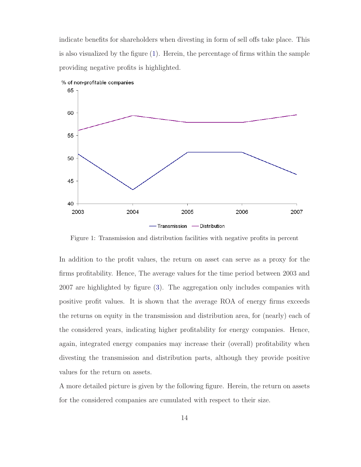indicate benefits for shareholders when divesting in form of sell offs take place. This is also visualized by the figure [\(1\)](#page-13-0). Herein, the percentage of firms within the sample providing negative profits is highlighted.

<span id="page-13-0"></span>

Figure 1: Transmission and distribution facilities with negative profits in percent

In addition to the profit values, the return on asset can serve as a proxy for the firms profitability. Hence, The average values for the time period between 2003 and 2007 are highlighted by figure [\(3\)](#page-15-0). The aggregation only includes companies with positive profit values. It is shown that the average ROA of energy firms exceeds the returns on equity in the transmission and distribution area, for (nearly) each of the considered years, indicating higher profitability for energy companies. Hence, again, integrated energy companies may increase their (overall) profitability when divesting the transmission and distribution parts, although they provide positive values for the return on assets.

A more detailed picture is given by the following figure. Herein, the return on assets for the considered companies are cumulated with respect to their size.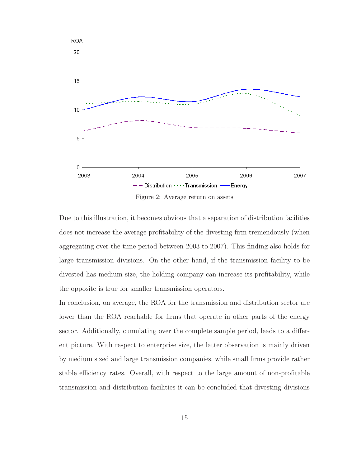

Due to this illustration, it becomes obvious that a separation of distribution facilities does not increase the average profitability of the divesting firm tremendously (when aggregating over the time period between 2003 to 2007). This finding also holds for large transmission divisions. On the other hand, if the transmission facility to be divested has medium size, the holding company can increase its profitability, while the opposite is true for smaller transmission operators.

In conclusion, on average, the ROA for the transmission and distribution sector are lower than the ROA reachable for firms that operate in other parts of the energy sector. Additionally, cumulating over the complete sample period, leads to a different picture. With respect to enterprise size, the latter observation is mainly driven by medium sized and large transmission companies, while small firms provide rather stable efficiency rates. Overall, with respect to the large amount of non-profitable transmission and distribution facilities it can be concluded that divesting divisions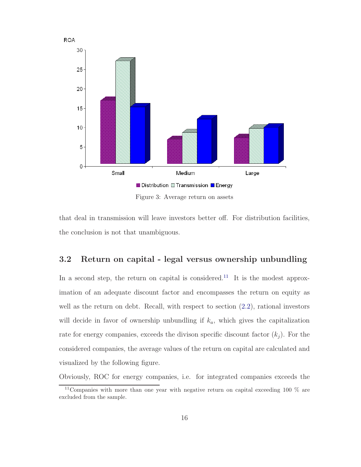<span id="page-15-0"></span>

that deal in transmission will leave investors better off. For distribution facilities, the conclusion is not that unambiguous.

#### **3.2 Return on capital - legal versus ownership unbundling**

In a second step, the return on capital is considered.<sup>[11](#page-15-1)</sup> It is the modest approximation of an adequate discount factor and encompasses the return on equity as well as the return on debt. Recall, with respect to section [\(2.2\)](#page-8-2), rational investors will decide in favor of ownership unbundling if  $k_a$ , which gives the capitalization rate for energy companies, exceeds the divison specific discount factor  $(k<sub>i</sub>)$ . For the considered companies, the average values of the return on capital are calculated and visualized by the following figure.

Obviously, ROC for energy companies, i.e. for integrated companies exceeds the

<span id="page-15-1"></span><sup>&</sup>lt;sup>11</sup>Companies with more than one year with negative return on capital exceeding 100  $\%$  are excluded from the sample.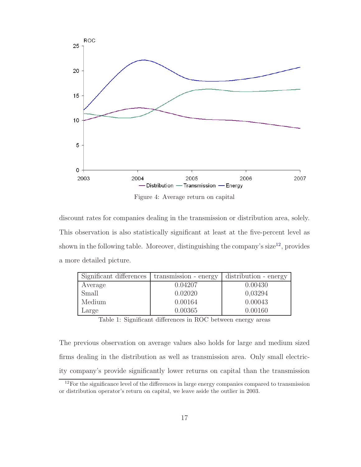

discount rates for companies dealing in the transmission or distribution area, solely. This observation is also statistically significant at least at the five-percent level as shown in the following table. Moreover, distinguishing the company's size<sup>[12](#page-16-0)</sup>, provides a more detailed picture.

| Significant differences | transmission - energy | distribution - energy |
|-------------------------|-----------------------|-----------------------|
| Average                 | 0.04207               | 0.00430               |
| Small                   | 0.02020               | 0,03294               |
| Medium                  | 0.00164               | 0.00043               |
| Large                   | 0.00365               | 0.00160               |

Table 1: Significant differences in ROC between energy areas

The previous observation on average values also holds for large and medium sized firms dealing in the distribution as well as transmission area. Only small electricity company's provide significantly lower returns on capital than the transmission

<span id="page-16-0"></span><sup>&</sup>lt;sup>12</sup>For the significance level of the differences in large energy companies compared to transmission or distribution operator's return on capital, we leave aside the outlier in 2003.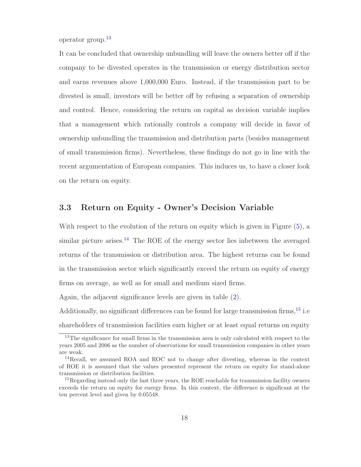operator group.[13](#page-17-0)

It can be concluded that ownership unbundling will leave the owners better off if the company to be divested operates in the transmission or energy distribution sector and earns revenues above 1,000,000 Euro. Instead, if the transmission part to be divested is small, investors will be better off by refusing a separation of ownership and control. Hence, considering the return on capital as decision variable implies that a management which rationally controls a company will decide in favor of ownership unbundling the transmission and distribution parts (besides management of small transmission firms). Nevertheless, these findings do not go in line with the recent argumentation of European companies. This induces us, to have a closer look on the return on equity.

#### **3.3 Return on Equity - Owner's Decision Variable**

With respect to the evolution of the return on equity which is given in Figure [\(5\)](#page-18-0), a similar picture arises.<sup>[14](#page-17-1)</sup> The ROE of the energy sector lies inbetween the averaged returns of the transmission or distribution area. The highest returns can be found in the transmission sector which significantly exceed the return on equity of energy firms on average, as well as for small and medium sized firms.

Again, the adjacent significance levels are given in table [\(2\)](#page-18-1).

Additionally, no significant differences can be found for large transmission firms,[15](#page-17-2) i.e shareholders of transmission facilities earn higher or at least equal returns on equity

<span id="page-17-0"></span><sup>&</sup>lt;sup>13</sup>The significance for small firms in the transmission area is only calculated with respect to the years 2005 and 2006 as the number of observations for small transmission companies in other years are weak.

<span id="page-17-1"></span> $14$ Recall, we assumed ROA and ROC not to change after divesting, whereas in the context of ROE it is assumed that the values presented represent the return on equity for stand-alone transmission or distribution facilities.

<span id="page-17-2"></span> $15$ Regarding instead only the last three years, the ROE reachable for transmission facility owners exceeds the return on equity for energy firms. In this context, the difference is significant at the ten percent level and given by 0.05548.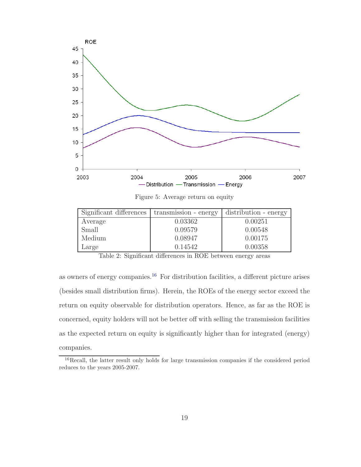<span id="page-18-0"></span>

Figure 5: Average return on equity

<span id="page-18-1"></span>

| Significant differences | transmission - energy | distribution - energy |
|-------------------------|-----------------------|-----------------------|
| Average                 | 0.03362               | 0.00251               |
| Small                   | 0.09579               | 0.00548               |
| Medium                  | 0.08947               | 0.00175               |
| Large                   | 0.14542               | 0.00358               |

Table 2: Significant differences in ROE between energy areas

as owners of energy companies.<sup>[16](#page-18-2)</sup> For distribution facilities, a different picture arises (besides small distribution firms). Herein, the ROEs of the energy sector exceed the return on equity observable for distribution operators. Hence, as far as the ROE is concerned, equity holders will not be better off with selling the transmission facilities as the expected return on equity is significantly higher than for integrated (energy) companies.

<span id="page-18-2"></span><sup>&</sup>lt;sup>16</sup>Recall, the latter result only holds for large transmission companies if the considered period reduces to the years 2005-2007.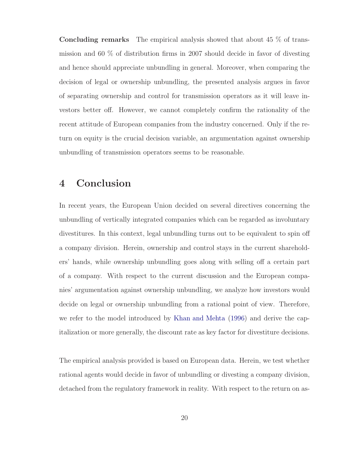**Concluding remarks** The empirical analysis showed that about 45 % of transmission and 60 % of distribution firms in 2007 should decide in favor of divesting and hence should appreciate unbundling in general. Moreover, when comparing the decision of legal or ownership unbundling, the presented analysis argues in favor of separating ownership and control for transmission operators as it will leave investors better off. However, we cannot completely confirm the rationality of the recent attitude of European companies from the industry concerned. Only if the return on equity is the crucial decision variable, an argumentation against ownership unbundling of transmission operators seems to be reasonable.

## **4 Conclusion**

In recent years, the European Union decided on several directives concerning the unbundling of vertically integrated companies which can be regarded as involuntary divestitures. In this context, legal unbundling turns out to be equivalent to spin off a company division. Herein, ownership and control stays in the current shareholders' hands, while ownership unbundling goes along with selling off a certain part of a company. With respect to the current discussion and the European companies' argumentation against ownership unbundling, we analyze how investors would decide on legal or ownership unbundling from a rational point of view. Therefore, we refer to the model introduced by [Khan and Mehta](#page-25-13) [\(1996\)](#page-25-13) and derive the capitalization or more generally, the discount rate as key factor for divestiture decisions.

The empirical analysis provided is based on European data. Herein, we test whether rational agents would decide in favor of unbundling or divesting a company division, detached from the regulatory framework in reality. With respect to the return on as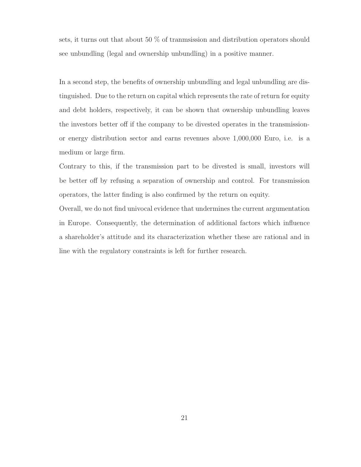sets, it turns out that about 50 % of tranmsission and distribution operators should see unbundling (legal and ownership unbundling) in a positive manner.

In a second step, the benefits of ownership unbundling and legal unbundling are distinguished. Due to the return on capital which represents the rate of return for equity and debt holders, respectively, it can be shown that ownership unbundling leaves the investors better off if the company to be divested operates in the transmissionor energy distribution sector and earns revenues above 1,000,000 Euro, i.e. is a medium or large firm.

Contrary to this, if the transmission part to be divested is small, investors will be better off by refusing a separation of ownership and control. For transmission operators, the latter finding is also confirmed by the return on equity.

Overall, we do not find univocal evidence that undermines the current argumentation in Europe. Consequently, the determination of additional factors which influence a shareholder's attitude and its characterization whether these are rational and in line with the regulatory constraints is left for further research.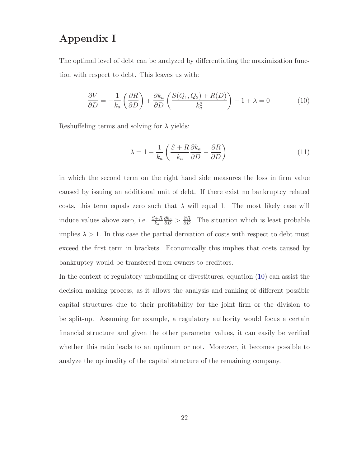## **Appendix I**

The optimal level of debt can be analyzed by differentiating the maximization function with respect to debt. This leaves us with:

<span id="page-21-0"></span>
$$
\frac{\partial V}{\partial D} = -\frac{1}{k_a} \left( \frac{\partial R}{\partial D} \right) + \frac{\partial k_a}{\partial D} \left( \frac{S(Q_1, Q_2) + R(D)}{k_a^2} \right) - 1 + \lambda = 0 \tag{10}
$$

Reshuffeling terms and solving for  $\lambda$  yields:

$$
\lambda = 1 - \frac{1}{k_a} \left( \frac{S + R}{k_a} \frac{\partial k_a}{\partial D} - \frac{\partial R}{\partial D} \right) \tag{11}
$$

in which the second term on the right hand side measures the loss in firm value caused by issuing an additional unit of debt. If there exist no bankruptcy related costs, this term equals zero such that  $\lambda$  will equal 1. The most likely case will induce values above zero, i.e.  $\frac{S+R}{k_a}$  $\frac{\partial k_a}{\partial D}$  >  $\frac{\partial R}{\partial D}$ . The situation which is least probable implies  $\lambda > 1$ . In this case the partial derivation of costs with respect to debt must exceed the first term in brackets. Economically this implies that costs caused by bankruptcy would be transfered from owners to creditors.

In the context of regulatory unbundling or divestitures, equation [\(10\)](#page-21-0) can assist the decision making process, as it allows the analysis and ranking of different possible capital structures due to their profitability for the joint firm or the division to be split-up. Assuming for example, a regulatory authority would focus a certain financial structure and given the other parameter values, it can easily be verified whether this ratio leads to an optimum or not. Moreover, it becomes possible to analyze the optimality of the capital structure of the remaining company.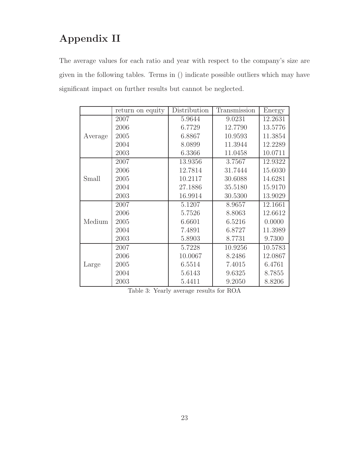## **Appendix II**

The average values for each ratio and year with respect to the company's size are given in the following tables. Terms in () indicate possible outliers which may have significant impact on further results but cannot be neglected.

|         | return on equity | Distribution | Transmission | Energy  |
|---------|------------------|--------------|--------------|---------|
| Average | 2007             | 5.9644       | 9.0231       | 12.2631 |
|         | 2006             | 6.7729       | 12.7790      | 13.5776 |
|         | 2005             | 6.8867       | 10.9593      | 11.3854 |
|         | 2004             | 8.0899       | 11.3944      | 12.2289 |
|         | 2003             | 6.3366       | 11.0458      | 10.0711 |
|         | 2007             | 13.9356      | 3.7567       | 12.9322 |
|         | 2006             | 12.7814      | 31.7444      | 15.6030 |
| Small   | 2005             | 10.2117      | 30.6088      | 14.6281 |
|         | 2004             | 27.1886      | 35.5180      | 15.9170 |
|         | 2003             | 16.9914      | 30.5300      | 13.9029 |
|         | 2007             | 5.1207       | 8.9657       | 12.1661 |
|         | 2006             | 5.7526       | 8.8063       | 12.6612 |
| Medium  | 2005             | 6.6601       | 6.5216       | 0.0000  |
|         | 2004             | 7.4891       | 6.8727       | 11.3989 |
|         | 2003             | 5.8903       | 8.7731       | 9.7300  |
| Large   | 2007             | 5.7228       | 10.9256      | 10.5783 |
|         | 2006             | 10.0067      | 8.2486       | 12.0867 |
|         | 2005             | 6.5514       | 7.4015       | 6.4761  |
|         | 2004             | 5.6143       | 9.6325       | 8.7855  |
|         | 2003             | 5.4411       | 9.2050       | 8.8206  |

Table 3: Yearly average results for ROA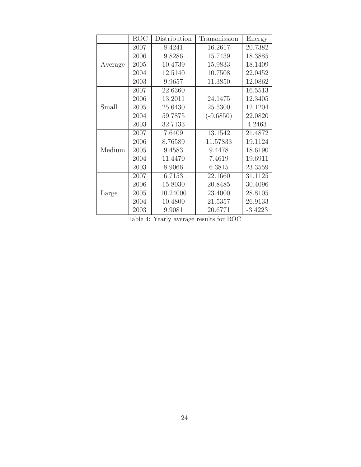|         | <b>ROC</b> | Distribution | Transmission | Energy    |
|---------|------------|--------------|--------------|-----------|
|         | 2007       | 8.4241       | 16.2617      | 20.7382   |
|         | 2006       | 9.8286       | 15.7439      | 18.3885   |
| Average | 2005       | 10.4739      | 15.9833      | 18.1409   |
|         | 2004       | 12.5140      | 10.7508      | 22.0452   |
|         | 2003       | 9.9657       | 11.3850      | 12.0862   |
|         | 2007       | 22.6360      |              | 16.5513   |
|         | 2006       | 13.2011      | 24.1475      | 12.3405   |
| Small   | 2005       | 25.6430      | 25.5300      | 12.1204   |
|         | 2004       | 59.7875      | $(-0.6850)$  | 22.0820   |
|         | 2003       | 32.7133      |              | 4.2463    |
|         | 2007       | 7.6409       | 13.1542      | 21.4872   |
|         | 2006       | 8.76589      | 11.57833     | 19.1124   |
| Medium  | 2005       | 9.4583       | 9.4478       | 18.6190   |
|         | 2004       | 11.4470      | 7.4619       | 19.6911   |
|         | 2003       | 8.9066       | 6.3815       | 23.3559   |
|         | 2007       | 6.7153       | 22.1660      | 31.1125   |
| Large   | 2006       | 15.8030      | 20.8485      | 30.4096   |
|         | 2005       | 10.24000     | 23.4000      | 28.8105   |
|         | 2004       | 10.4800      | 21.5357      | 26.9133   |
|         | 2003       | 9.9081       | 20.6771      | $-3.4223$ |

Table 4: Yearly average results for ROC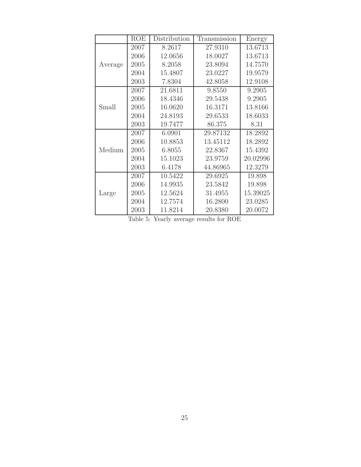|         | <b>ROE</b> | Distribution | Transmission | Energy   |
|---------|------------|--------------|--------------|----------|
|         | 2007       | 8.2617       | 27.9310      | 13.6713  |
|         | 2006       | 12.0656      | 18.0027      | 13.6713  |
| Average | 2005       | 8.2058       | 23.8094      | 14.7570  |
|         | 2004       | 15.4807      | 23.0227      | 19.9579  |
|         | 2003       | 7.8304       | 42.8058      | 12.9108  |
|         | 2007       | 21.6811      | 9.8550       | 9.2905   |
|         | 2006       | 18.4346      | 29.5438      | 9.2905   |
| Small   | 2005       | 16.0620      | 16.3171      | 13.8166  |
|         | 2004       | 24.8193      | 29.6533      | 18.6033  |
|         | 2003       | 19.7477      | 86.375       | 8.31     |
| Medium  | 2007       | 6.0901       | 29.87132     | 18.2892  |
|         | 2006       | 10.8853      | 13.45112     | 18.2892  |
|         | 2005       | 6.8055       | 22.8367      | 15.4392  |
|         | 2004       | 15.1023      | 23.9759      | 20.02996 |
|         | 2003       | 6.4178       | 44.86965     | 12.3279  |
| Large   | 2007       | 10.5422      | 29.6925      | 19.898   |
|         | 2006       | 14.9935      | 23.5842      | 19.898   |
|         | 2005       | 12.5624      | 31.4955      | 15.39025 |
|         | 2004       | 12.7574      | 16.2800      | 23.0285  |
|         | 2003       | 11.8214      | 20.8380      | 20.0072  |

Table 5: Yearly average results for ROE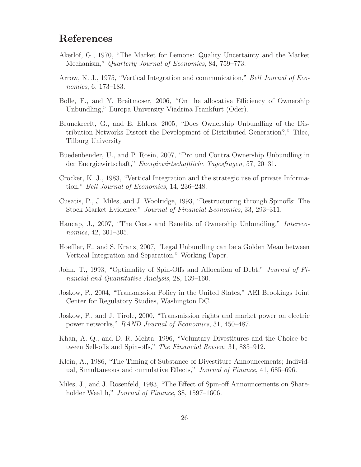## **References**

- <span id="page-25-14"></span>Akerlof, G., 1970, "The Market for Lemons: Quality Uncertainty and the Market Mechanism," *Quarterly Journal of Economics*, 84, 759–773.
- <span id="page-25-7"></span>Arrow, K. J., 1975, "Vertical Integration and communication," *Bell Journal of Economics*, 6, 173–183.
- <span id="page-25-2"></span>Bolle, F., and Y. Breitmoser, 2006, "On the allocative Efficiency of Ownership Unbundling," Europa University Viadrina Frankfurt (Oder).
- <span id="page-25-5"></span>Brunekreeft, G., and E. Ehlers, 2005, "Does Ownership Unbundling of the Distribution Networks Distort the Development of Distributed Generation?," Tilec, Tilburg University.
- <span id="page-25-6"></span>Buedenbender, U., and P. Rosin, 2007, "Pro und Contra Ownership Unbundling in der Energiewirtschaft," *Energiewirtschaftliche Tagesfragen*, 57, 20–31.
- <span id="page-25-8"></span>Crocker, K. J., 1983, "Vertical Integration and the strategic use of private Information," *Bell Journal of Economics*, 14, 236–248.
- <span id="page-25-12"></span>Cusatis, P., J. Miles, and J. Woolridge, 1993, "Restructuring through Spinoffs: The Stock Market Evidence," *Journal of Financial Economics*, 33, 293–311.
- <span id="page-25-4"></span>Haucap, J., 2007, "The Costs and Benefits of Ownership Unbundling," *Intereconomics*, 42, 301–305.
- <span id="page-25-3"></span>Hoeffler, F., and S. Kranz, 2007, "Legal Unbundling can be a Golden Mean between Vertical Integration and Separation," Working Paper.
- <span id="page-25-11"></span>John, T., 1993, "Optimality of Spin-Offs and Allocation of Debt," *Journal of Financial and Quantitative Analysis*, 28, 139–160.
- <span id="page-25-1"></span>Joskow, P., 2004, "Transmission Policy in the United States," AEI Brookings Joint Center for Regulatory Studies, Washington DC.
- <span id="page-25-0"></span>Joskow, P., and J. Tirole, 2000, "Transmission rights and market power on electric power networks," *RAND Journal of Economics*, 31, 450–487.
- <span id="page-25-13"></span>Khan, A. Q., and D. R. Mehta, 1996, "Voluntary Divestitures and the Choice between Sell-offs and Spin-offs," *The Financial Review*, 31, 885–912.
- <span id="page-25-10"></span>Klein, A., 1986, "The Timing of Substance of Divestiture Announcements; Individual, Simultaneous and cumulative Effects," *Journal of Finance*, 41, 685–696.
- <span id="page-25-9"></span>Miles, J., and J. Rosenfeld, 1983, "The Effect of Spin-off Announcements on Shareholder Wealth," *Journal of Finance*, 38, 1597–1606.